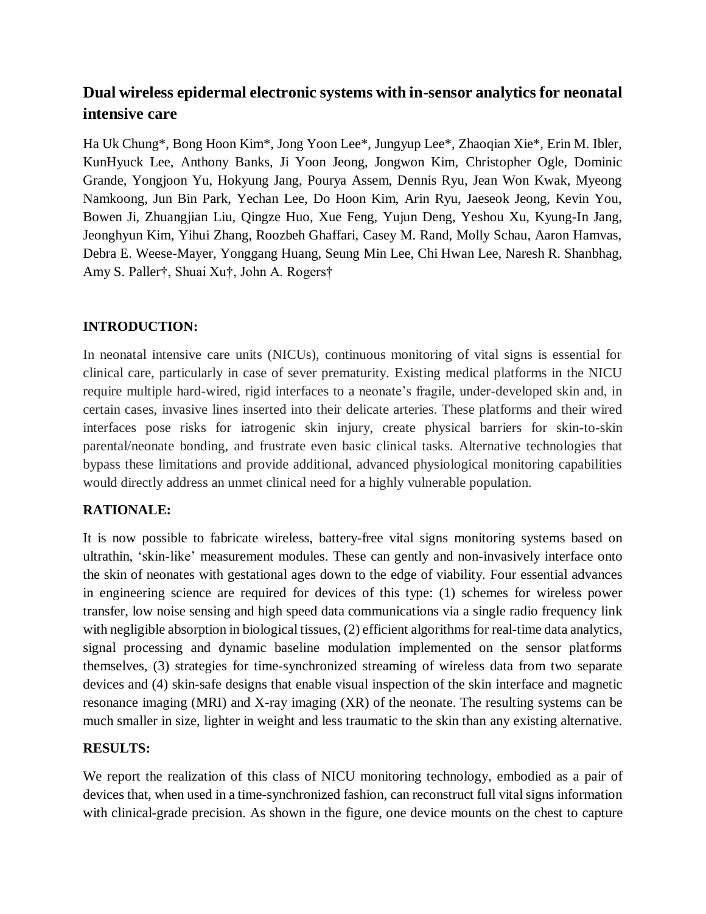# **Dual wireless epidermal electronic systems with in-sensor analytics for neonatal intensive care**

Ha Uk Chung\*, Bong Hoon Kim\*, Jong Yoon Lee\*, Jungyup Lee\*, Zhaoqian Xie\*, Erin M. Ibler, KunHyuck Lee, Anthony Banks, Ji Yoon Jeong, Jongwon Kim, Christopher Ogle, Dominic Grande, Yongjoon Yu, Hokyung Jang, Pourya Assem, Dennis Ryu, Jean Won Kwak, Myeong Namkoong, Jun Bin Park, Yechan Lee, Do Hoon Kim, Arin Ryu, Jaeseok Jeong, Kevin You, Bowen Ji, Zhuangjian Liu, Qingze Huo, Xue Feng, Yujun Deng, Yeshou Xu, Kyung-In Jang, Jeonghyun Kim, Yihui Zhang, Roozbeh Ghaffari, Casey M. Rand, Molly Schau, Aaron Hamvas, Debra E. Weese-Mayer, Yonggang Huang, Seung Min Lee, Chi Hwan Lee, Naresh R. Shanbhag, Amy S. Paller†, Shuai Xu†, John A. Rogers†

# **INTRODUCTION:**

In neonatal intensive care units (NICUs), continuous monitoring of vital signs is essential for clinical care, particularly in case of sever prematurity. Existing medical platforms in the NICU require multiple hard-wired, rigid interfaces to a neonate's fragile, under-developed skin and, in certain cases, invasive lines inserted into their delicate arteries. These platforms and their wired interfaces pose risks for iatrogenic skin injury, create physical barriers for skin-to-skin parental/neonate bonding, and frustrate even basic clinical tasks. Alternative technologies that bypass these limitations and provide additional, advanced physiological monitoring capabilities would directly address an unmet clinical need for a highly vulnerable population.

### **RATIONALE:**

It is now possible to fabricate wireless, battery-free vital signs monitoring systems based on ultrathin, 'skin-like' measurement modules. These can gently and non-invasively interface onto the skin of neonates with gestational ages down to the edge of viability. Four essential advances in engineering science are required for devices of this type: (1) schemes for wireless power transfer, low noise sensing and high speed data communications via a single radio frequency link with negligible absorption in biological tissues, (2) efficient algorithms for real-time data analytics, signal processing and dynamic baseline modulation implemented on the sensor platforms themselves, (3) strategies for time-synchronized streaming of wireless data from two separate devices and (4) skin-safe designs that enable visual inspection of the skin interface and magnetic resonance imaging (MRI) and X-ray imaging (XR) of the neonate. The resulting systems can be much smaller in size, lighter in weight and less traumatic to the skin than any existing alternative.

### **RESULTS:**

We report the realization of this class of NICU monitoring technology, embodied as a pair of devices that, when used in a time-synchronized fashion, can reconstruct full vital signs information with clinical-grade precision. As shown in the figure, one device mounts on the chest to capture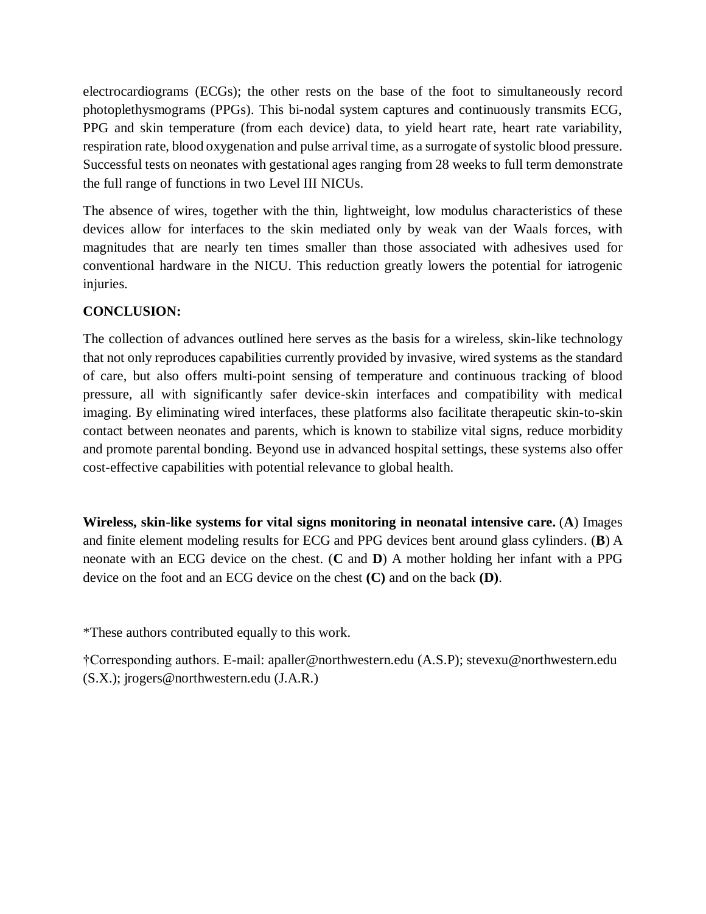electrocardiograms (ECGs); the other rests on the base of the foot to simultaneously record photoplethysmograms (PPGs). This bi-nodal system captures and continuously transmits ECG, PPG and skin temperature (from each device) data, to yield heart rate, heart rate variability, respiration rate, blood oxygenation and pulse arrival time, as a surrogate of systolic blood pressure. Successful tests on neonates with gestational ages ranging from 28 weeks to full term demonstrate the full range of functions in two Level III NICUs.

The absence of wires, together with the thin, lightweight, low modulus characteristics of these devices allow for interfaces to the skin mediated only by weak van der Waals forces, with magnitudes that are nearly ten times smaller than those associated with adhesives used for conventional hardware in the NICU. This reduction greatly lowers the potential for iatrogenic injuries.

# **CONCLUSION:**

The collection of advances outlined here serves as the basis for a wireless, skin-like technology that not only reproduces capabilities currently provided by invasive, wired systems as the standard of care, but also offers multi-point sensing of temperature and continuous tracking of blood pressure, all with significantly safer device-skin interfaces and compatibility with medical imaging. By eliminating wired interfaces, these platforms also facilitate therapeutic skin-to-skin contact between neonates and parents, which is known to stabilize vital signs, reduce morbidity and promote parental bonding. Beyond use in advanced hospital settings, these systems also offer cost-effective capabilities with potential relevance to global health.

**Wireless, skin-like systems for vital signs monitoring in neonatal intensive care.** (**A**) Images and finite element modeling results for ECG and PPG devices bent around glass cylinders. (**B**) A neonate with an ECG device on the chest. (**C** and **D**) A mother holding her infant with a PPG device on the foot and an ECG device on the chest **(C)** and on the back **(D)**.

\*These authors contributed equally to this work.

†Corresponding authors. E-mail: apaller@northwestern.edu (A.S.P); stevexu@northwestern.edu (S.X.); jrogers@northwestern.edu (J.A.R.)